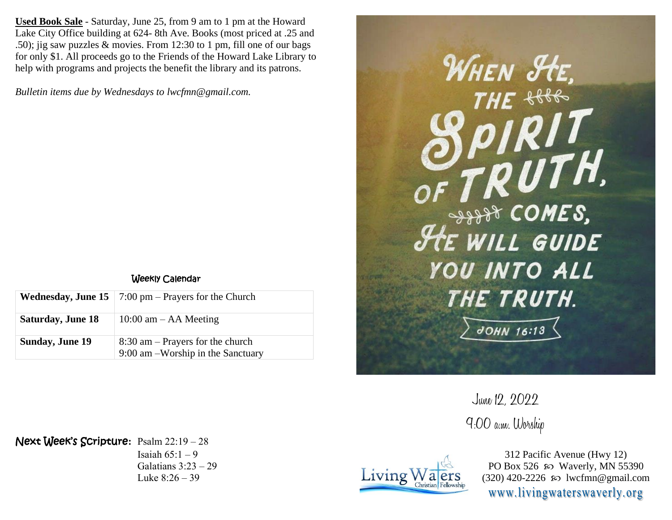**Used Book Sale** - Saturday, June 25, from 9 am to 1 pm at the Howard Lake City Office building at 624- 8th Ave. Books (most priced at .25 and .50); jig saw puzzles & movies. From 12:30 to 1 pm, fill one of our bags for only \$1. All proceeds go to the Friends of the Howard Lake Library to help with programs and projects the benefit the library and its patrons.

*Bulletin items due by Wednesdays to lwcfmn@gmail.com.*

## Weekly Calendar

|                          | <b>Wednesday, June 15</b>   7:00 pm – Prayers for the Church            |
|--------------------------|-------------------------------------------------------------------------|
| <b>Saturday, June 18</b> | 10:00 am $-$ AA Meeting                                                 |
| <b>Sunday, June 19</b>   | $8:30$ am – Prayers for the church<br>9:00 am -Worship in the Sanctuary |



June 12, 2022 9:00 a.m. Worship



312 Pacific Avenue (Hwy 12) PO Box 526  $\wp$  Waverly, MN 55390 (320) 420-2226 so lwcfmn@gmail.com www.livingwaterswaverly.org

Next Week's Scripture**:** Psalm 22:19 – 28 Isaiah  $65:1-9$ Galatians 3:23 – 29 Luke 8:26 – 39